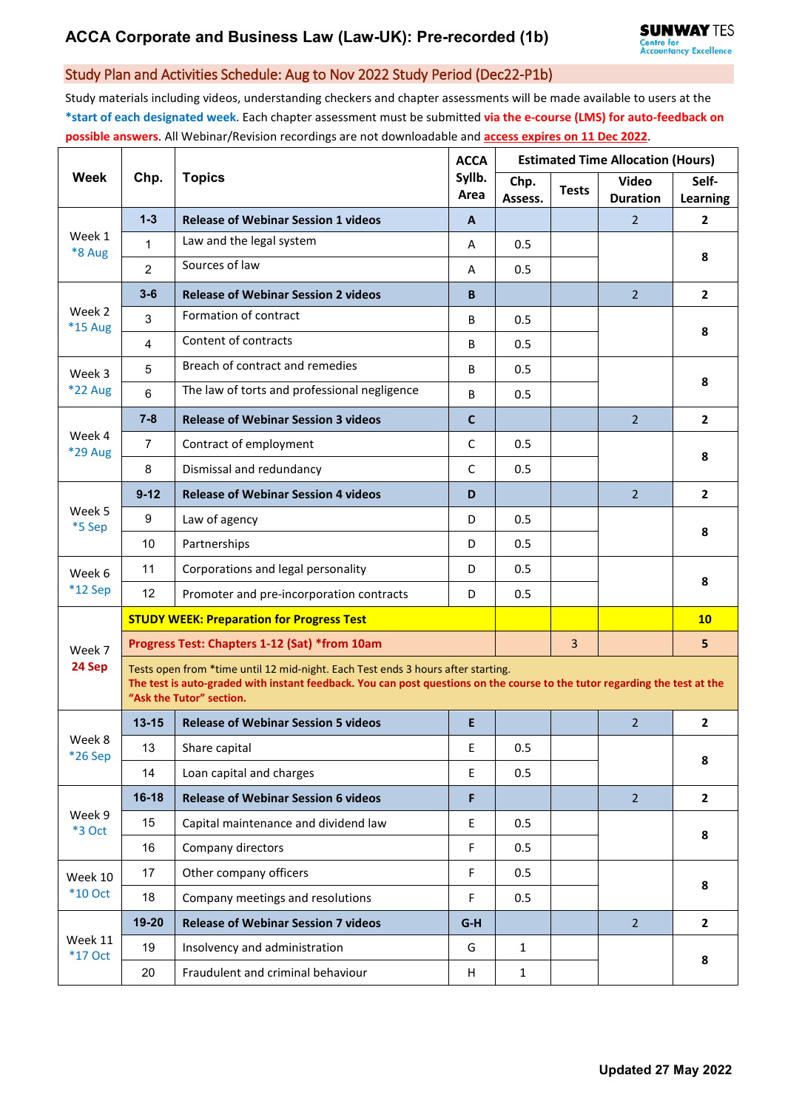## Study Plan and Activities Schedule: Aug to Nov 2022 Study Period (Dec22-P1b)

Study materials including videos, understanding checkers and chapter assessments will be made available to users at the **\*start of each designated week**. Each chapter assessment must be submitted **via the e-course (LMS) for auto-feedback on possible answers**. All Webinar/Revision recordings are not downloadable and **access expires on 11 Dec 2022**.

| <b>Week</b>               | Chp.                                                                                                                                                                                                                                       | <b>Topics</b>                                    | <b>ACCA</b><br>Syllb.<br>Area | <b>Estimated Time Allocation (Hours)</b> |                |                                 |                          |  |  |
|---------------------------|--------------------------------------------------------------------------------------------------------------------------------------------------------------------------------------------------------------------------------------------|--------------------------------------------------|-------------------------------|------------------------------------------|----------------|---------------------------------|--------------------------|--|--|
|                           |                                                                                                                                                                                                                                            |                                                  |                               | Chp.<br>Assess.                          | <b>Tests</b>   | <b>Video</b><br><b>Duration</b> | Self-<br><b>Learning</b> |  |  |
| Week 1<br>*8 Aug          | $1 - 3$                                                                                                                                                                                                                                    | <b>Release of Webinar Session 1 videos</b>       | A                             |                                          |                | 2                               | $\mathbf{2}$             |  |  |
|                           | $\mathbf{1}$                                                                                                                                                                                                                               | Law and the legal system                         | A                             | 0.5                                      |                |                                 | 8                        |  |  |
|                           | $\overline{c}$                                                                                                                                                                                                                             | Sources of law                                   | A                             | 0.5                                      |                |                                 |                          |  |  |
| Week 2<br><b>*15 Aug</b>  | $3 - 6$                                                                                                                                                                                                                                    | <b>Release of Webinar Session 2 videos</b>       | B                             |                                          |                | $\overline{2}$                  | $\overline{2}$           |  |  |
|                           | 3                                                                                                                                                                                                                                          | Formation of contract                            | B                             | 0.5                                      |                |                                 | 8                        |  |  |
|                           | 4                                                                                                                                                                                                                                          | Content of contracts                             | B                             | 0.5                                      |                |                                 |                          |  |  |
| Week 3<br>*22 Aug         | 5                                                                                                                                                                                                                                          | Breach of contract and remedies                  | B                             | 0.5                                      |                |                                 | 8                        |  |  |
|                           | $6\phantom{1}$                                                                                                                                                                                                                             | The law of torts and professional negligence     | B                             | 0.5                                      |                |                                 |                          |  |  |
| Week 4<br><b>*29 Aug</b>  | $7 - 8$                                                                                                                                                                                                                                    | <b>Release of Webinar Session 3 videos</b>       | $\mathbf{C}$                  |                                          |                | $\overline{2}$                  | $\mathbf{2}$             |  |  |
|                           | $\overline{7}$                                                                                                                                                                                                                             | Contract of employment                           | $\mathsf{C}$                  | 0.5                                      |                |                                 | 8                        |  |  |
|                           | 8                                                                                                                                                                                                                                          | Dismissal and redundancy                         | $\mathsf{C}$                  | 0.5                                      |                |                                 |                          |  |  |
| Week 5<br>*5 Sep          | $9 - 12$                                                                                                                                                                                                                                   | <b>Release of Webinar Session 4 videos</b>       | D                             |                                          |                | $\overline{2}$                  | $\mathbf{2}$             |  |  |
|                           | 9                                                                                                                                                                                                                                          | Law of agency                                    | D                             | 0.5                                      |                |                                 | 8                        |  |  |
|                           | 10                                                                                                                                                                                                                                         | Partnerships                                     | D                             | 0.5                                      |                |                                 |                          |  |  |
| Week 6                    | 11                                                                                                                                                                                                                                         | Corporations and legal personality               | D                             | 0.5                                      |                |                                 | 8                        |  |  |
| $*12$ Sep                 | 12                                                                                                                                                                                                                                         | Promoter and pre-incorporation contracts         | D                             | 0.5                                      |                |                                 |                          |  |  |
| Week 7<br>24 Sep          |                                                                                                                                                                                                                                            | <b>STUDY WEEK: Preparation for Progress Test</b> |                               |                                          |                |                                 | 10                       |  |  |
|                           | Progress Test: Chapters 1-12 (Sat) *from 10am                                                                                                                                                                                              |                                                  |                               |                                          | $\overline{3}$ |                                 | 5                        |  |  |
|                           | Tests open from *time until 12 mid-night. Each Test ends 3 hours after starting.<br>The test is auto-graded with instant feedback. You can post questions on the course to the tutor regarding the test at the<br>"Ask the Tutor" section. |                                                  |                               |                                          |                |                                 |                          |  |  |
| Week 8<br>*26 Sep         | $13 - 15$                                                                                                                                                                                                                                  | <b>Release of Webinar Session 5 videos</b>       | E                             |                                          |                | $\overline{2}$                  | $\overline{2}$           |  |  |
|                           | 13                                                                                                                                                                                                                                         | Share capital                                    | $\mathsf E$                   | 0.5                                      |                |                                 | 8                        |  |  |
|                           | 14                                                                                                                                                                                                                                         | Loan capital and charges                         | E.                            | 0.5                                      |                |                                 |                          |  |  |
| Week 9<br><b>*3 Oct</b>   | $16 - 18$                                                                                                                                                                                                                                  | <b>Release of Webinar Session 6 videos</b>       | F                             |                                          |                | 2 <sup>1</sup>                  | $\overline{2}$           |  |  |
|                           | 15                                                                                                                                                                                                                                         | Capital maintenance and dividend law             | E.                            | 0.5                                      |                |                                 | 8                        |  |  |
|                           | 16                                                                                                                                                                                                                                         | Company directors                                | F                             | 0.5                                      |                |                                 |                          |  |  |
| Week 10<br>$*10$ Oct      | 17                                                                                                                                                                                                                                         | Other company officers                           | F.                            | 0.5                                      |                |                                 | 8                        |  |  |
|                           | 18                                                                                                                                                                                                                                         | Company meetings and resolutions                 | F                             | 0.5                                      |                |                                 |                          |  |  |
| Week 11<br><b>*17 Oct</b> | 19-20                                                                                                                                                                                                                                      | <b>Release of Webinar Session 7 videos</b>       | $G-H$                         |                                          |                | $\overline{2}$                  | $\mathbf{2}$             |  |  |
|                           | 19                                                                                                                                                                                                                                         | Insolvency and administration                    | G                             | $\mathbf{1}$                             |                |                                 | 8                        |  |  |
|                           | 20                                                                                                                                                                                                                                         | Fraudulent and criminal behaviour                | H                             | $\mathbf{1}$                             |                |                                 |                          |  |  |